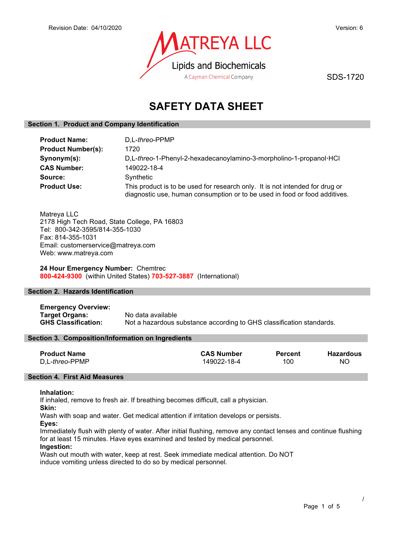

SDS-1720

# SAFETY DATA SHEET

### Section 1. Product and Company Identification

| <b>Product Name:</b>      | D.L-threo-PPMP                                                                                                                                             |  |
|---------------------------|------------------------------------------------------------------------------------------------------------------------------------------------------------|--|
| <b>Product Number(s):</b> | 1720                                                                                                                                                       |  |
| Synonym(s):               | D,L-threo-1-Phenyl-2-hexadecanoylamino-3-morpholino-1-propanol·HCl                                                                                         |  |
| <b>CAS Number:</b>        | 149022-18-4                                                                                                                                                |  |
| Source:                   | Synthetic                                                                                                                                                  |  |
| <b>Product Use:</b>       | This product is to be used for research only. It is not intended for drug or<br>diagnostic use, human consumption or to be used in food or food additives. |  |

Matreya LLC 2178 High Tech Road, State College, PA 16803 Tel: 800-342-3595/814-355-1030 Fax: 814-355-1031 Email: customerservice@matreya.com Web: www.matreya.com

### 24 Hour Emergency Number: Chemtrec 800-424-9300 (within United States) 703-527-3887 (International)

### Section 2. Hazards Identification

Emergency Overview: **Target Organs:** No data available<br> **GHS Classification:** Not a hazardous s Not a hazardous substance according to GHS classification standards.

### Section 3. Composition/Information on Ingredients

| <b>Product Name</b>     | <b>CAS Number</b> | <b>Percent</b> | Hazardous |
|-------------------------|-------------------|----------------|-----------|
| D.L- <i>threo</i> -PPMP | 149022-18-4       | 100            | NO.       |

### Section 4. First Aid Measures

### Inhalation:

If inhaled, remove to fresh air. If breathing becomes difficult, call a physician.

Skin:

Wash with soap and water. Get medical attention if irritation develops or persists.

Eyes:

Immediately flush with plenty of water. After initial flushing, remove any contact lenses and continue flushing for at least 15 minutes. Have eyes examined and tested by medical personnel.

### Ingestion:

Wash out mouth with water, keep at rest. Seek immediate medical attention. Do NOT induce vomiting unless directed to do so by medical personnel.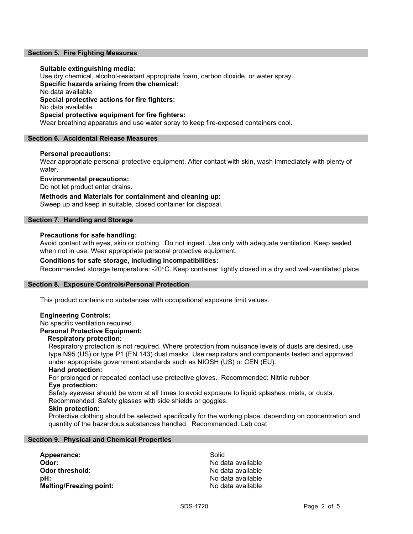### Section 5. Fire Fighting Measures

### Suitable extinguishing media:

Use dry chemical, alcohol-resistant appropriate foam, carbon dioxide, or water spray. Specific hazards arising from the chemical: No data available Special protective actions for fire fighters: No data available Special protective equipment for fire fighters: Wear breathing apparatus and use water spray to keep fire-exposed containers cool.

### Section 6. Accidental Release Measures

### Personal precautions:

Wear appropriate personal protective equipment. After contact with skin, wash immediately with plenty of water.

Environmental precautions:

Do not let product enter drains.

### Methods and Materials for containment and cleaning up:

Sweep up and keep in suitable, closed container for disposal.

### Section 7. Handling and Storage

### Precautions for safe handling:

Avoid contact with eyes, skin or clothing. Do not ingest. Use only with adequate ventilation. Keep sealed when not in use. Wear appropriate personal protective equipment.

### Conditions for safe storage, including incompatibilities:

Recommended storage temperature: -20°C. Keep container tightly closed in a dry and well-ventilated place.

### Section 8. Exposure Controls/Personal Protection

This product contains no substances with occupational exposure limit values.

### Engineering Controls:

No specific ventilation required.

### Personal Protective Equipment:

### Respiratory protection:

Respiratory protection is not required. Where protection from nuisance levels of dusts are desired, use type N95 (US) or type P1 (EN 143) dust masks. Use respirators and components tested and approved under appropriate government standards such as NIOSH (US) or CEN (EU).

### Hand protection:

For prolonged or repeated contact use protective gloves. Recommended: Nitrile rubber Eye protection:

Safety eyewear should be worn at all times to avoid exposure to liquid splashes, mists, or dusts. Recommended: Safety glasses with side shields or goggles.

### Skin protection:

Protective clothing should be selected specifically for the working place, depending on concentration and quantity of the hazardous substances handled. Recommended: Lab coat

### Section 9. Physical and Chemical Properties

Appearance: Solid Odor: No data available **Odor threshold:** No data available pH: No data available Melting/Freezing point: No data available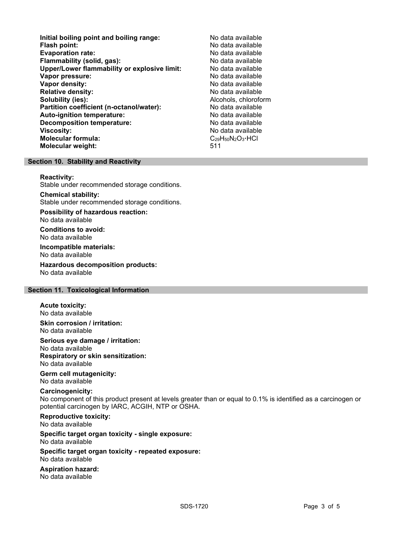Initial boiling point and boiling range: No data available Flash point: No data available<br>
Evaporation rate: No data available Evaporation rate: Flammability (solid, gas): No data available Upper/Lower flammability or explosive limit: No data available **Vapor pressure:** No data available values and the values of the values of the values of the values of the values of the values of the values of the values of the values of the values of the values of the values of the val Vapor density: No data available Relative density: No data available Solubility (ies): Alcohols, chloroform Partition coefficient (n-octanol/water): No data available<br>
Auto-ignition temperature: No data available Auto-ignition temperature: Decomposition temperature: No data available **Viscosity:** No data available Molecular formula: C<sub>29</sub>H<sub>50</sub>N<sub>2</sub>O<sub>3</sub>·HCl Molecular weight: 511

### Section 10. Stability and Reactivity

### Reactivity:

Stable under recommended storage conditions.

### Chemical stability:

Stable under recommended storage conditions.

Possibility of hazardous reaction: No data available

Conditions to avoid: No data available

Incompatible materials:

No data available

Hazardous decomposition products: No data available

### Section 11. Toxicological Information

Acute toxicity: No data available

Skin corrosion / irritation: No data available

Serious eye damage / irritation: No data available Respiratory or skin sensitization: No data available

Germ cell mutagenicity: No data available

### Carcinogenicity:

No component of this product present at levels greater than or equal to 0.1% is identified as a carcinogen or potential carcinogen by IARC, ACGIH, NTP or OSHA.

## Reproductive toxicity:

No data available

### Specific target organ toxicity - single exposure: No data available

Specific target organ toxicity - repeated exposure:

No data available

Aspiration hazard: No data available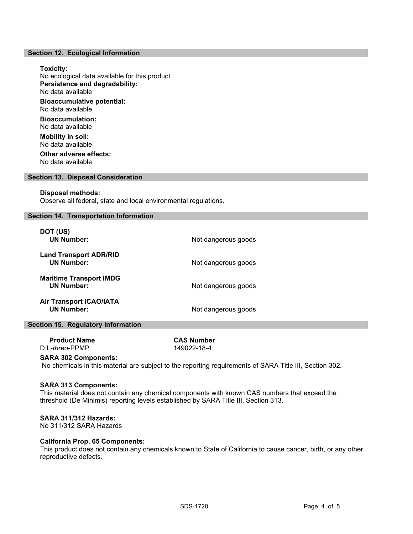### Section 12. Ecological Information

### Toxicity: No ecological data available for this product. Persistence and degradability: No data available Bioaccumulative potential: No data available Bioaccumulation: No data available Mobility in soil: No data available Other adverse effects: No data available

### Section 13. Disposal Consideration

### Disposal methods:

Observe all federal, state and local environmental regulations.

### Section 14. Transportation Information

| DOT (US)<br><b>UN Number:</b>                       | Not dangerous goods |
|-----------------------------------------------------|---------------------|
| <b>Land Transport ADR/RID</b><br><b>UN Number:</b>  | Not dangerous goods |
| <b>Maritime Transport IMDG</b><br><b>UN Number:</b> | Not dangerous goods |
| <b>Air Transport ICAO/IATA</b><br><b>UN Number:</b> | Not dangerous goods |

### Section 15. Regulatory Information

| <b>Product Name</b>     |  |
|-------------------------|--|
| D,L- <i>threo</i> -PPMP |  |

**CAS Number** 149022-18-4

### SARA 302 Components:

No chemicals in this material are subject to the reporting requirements of SARA Title III, Section 302.

### SARA 313 Components:

This material does not contain any chemical components with known CAS numbers that exceed the threshold (De Minimis) reporting levels established by SARA Title III, Section 313.

### SARA 311/312 Hazards:

No 311/312 SARA Hazards

### California Prop. 65 Components:

This product does not contain any chemicals known to State of California to cause cancer, birth, or any other reproductive defects.